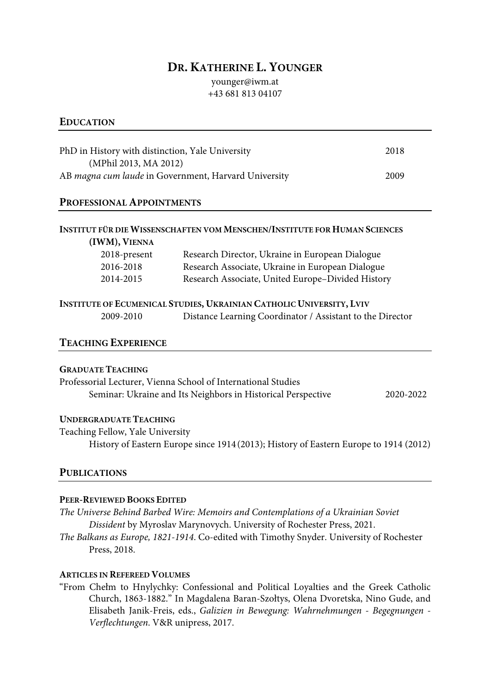## **DR. KATHERINE L. YOUNGER**

younger@iwm.at +43 681 813 04107

## **EDUCATION**

| PhD in History with distinction, Yale University     | 2018 |
|------------------------------------------------------|------|
| (MPhil 2013, MA 2012)                                |      |
| AB magna cum laude in Government, Harvard University | 2009 |

## **PROFESSIONAL APPOINTMENTS**

| 2018-present | Research Director, Ukraine in European Dialogue   |
|--------------|---------------------------------------------------|
| 2016-2018    | Research Associate, Ukraine in European Dialogue  |
|              |                                                   |
| 2014-2015    | Research Associate, United Europe-Divided History |

# **INSTITUTE OF ECUMENICAL STUDIES, UKRAINIAN CATHOLIC UNIVERSITY, LVIV**

| 2009-2010 | Distance Learning Coordinator / Assistant to the Director |  |  |  |
|-----------|-----------------------------------------------------------|--|--|--|
|-----------|-----------------------------------------------------------|--|--|--|

## **TEACHING EXPERIENCE**

#### **GRADUATE TEACHING**

Professorial Lecturer, Vienna School of International Studies Seminar: Ukraine and Its Neighbors in Historical Perspective 2020-2022

#### **UNDERGRADUATE TEACHING**

Teaching Fellow, Yale University History of Eastern Europe since 1914(2013); History of Eastern Europe to 1914 (2012)

#### **PUBLICATIONS**

#### **PEER-REVIEWED BOOKS EDITED**

*The Universe Behind Barbed Wire: Memoirs and Contemplations of a Ukrainian Soviet Dissident* by Myroslav Marynovych. University of Rochester Press, 2021.

*The Balkans as Europe, 1821-1914*. Co-edited with Timothy Snyder. University of Rochester Press, 2018.

### **ARTICLES IN REFEREED VOLUMES**

"From Chełm to Hnylychky: Confessional and Political Loyalties and the Greek Catholic Church, 1863-1882." In Magdalena Baran-Szołtys, Olena Dvoretska, Nino Gude, and Elisabeth Janik-Freis, eds., *Galizien in Bewegung: Wahrnehmungen - Begegnungen - Verflechtungen*. V&R unipress, 2017.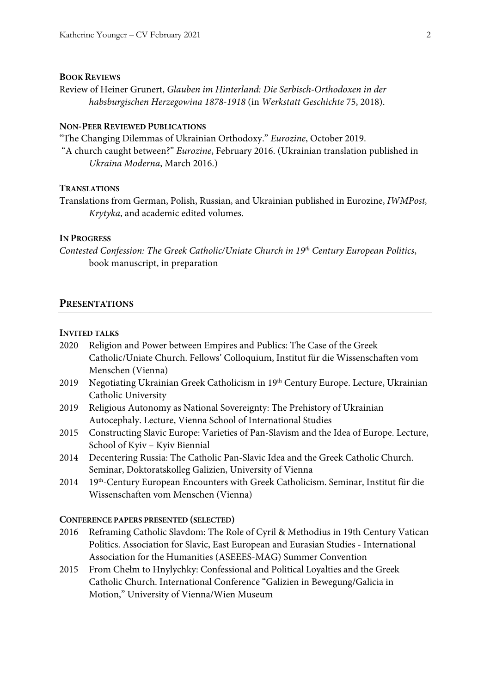#### **BOOK REVIEWS**

Review of Heiner Grunert, *Glauben im Hinterland: Die Serbisch-Orthodoxen in der habsburgischen Herzegowina 1878-1918* (in *Werkstatt Geschichte* 75, 2018).

## **NON-PEER REVIEWED PUBLICATIONS**

"The Changing Dilemmas of Ukrainian Orthodoxy." *Eurozine*, October 2019.

"A church caught between?" *Eurozine*, February 2016. (Ukrainian translation published in *Ukraina Moderna*, March 2016.)

#### **TRANSLATIONS**

Translations from German, Polish, Russian, and Ukrainian published in Eurozine, *IWMPost, Krytyka*, and academic edited volumes.

#### **IN PROGRESS**

*Contested Confession: The Greek Catholic/Uniate Church in 19th Century European Politics*, book manuscript, in preparation

#### **PRESENTATIONS**

#### **INVITED TALKS**

- 2020 Religion and Power between Empires and Publics: The Case of the Greek Catholic/Uniate Church. Fellows' Colloquium, Institut für die Wissenschaften vom Menschen (Vienna)
- 2019 Negotiating Ukrainian Greek Catholicism in 19th Century Europe. Lecture, Ukrainian Catholic University
- 2019 Religious Autonomy as National Sovereignty: The Prehistory of Ukrainian Autocephaly. Lecture, Vienna School of International Studies
- 2015 Constructing Slavic Europe: Varieties of Pan-Slavism and the Idea of Europe. Lecture, School of Kyiv – Kyiv Biennial
- 2014 Decentering Russia: The Catholic Pan-Slavic Idea and the Greek Catholic Church. Seminar, Doktoratskolleg Galizien, University of Vienna
- 2014 19<sup>th</sup>-Century European Encounters with Greek Catholicism. Seminar, Institut für die Wissenschaften vom Menschen (Vienna)

#### **CONFERENCE PAPERS PRESENTED (SELECTED)**

- 2016 Reframing Catholic Slavdom: The Role of Cyril & Methodius in 19th Century Vatican Politics. Association for Slavic, East European and Eurasian Studies - International Association for the Humanities (ASEEES-MAG) Summer Convention
- 2015 From Chełm to Hnylychky: Confessional and Political Loyalties and the Greek Catholic Church. International Conference "Galizien in Bewegung/Galicia in Motion," University of Vienna/Wien Museum